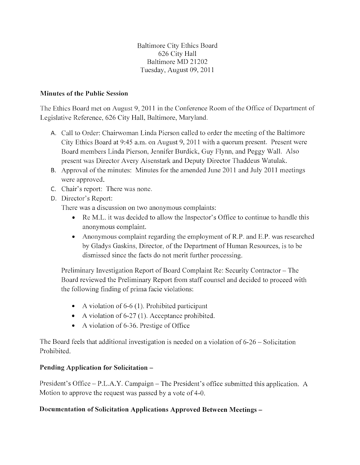Baltimore City Ethics Board 626 City Hall Baltimore MD 21202 Tuesday, August 09, 2011

## **Minutes of the Public Session**

The Ethics Board met on August 9, 2011 in the Conference Room of the Office of Department of Legislative Reference, 626 City Hall, Baltimore, Maryland.

- A. Call to Order: Chairwoman Linda Pierson called to order the meeting of the Baltimore City Ethics Board at 9:45 a.m. on August 9, 2011 with a quorum present. Present were Board members Linda Pierson, Jennifer Burdick, Guy Flynn, and Peggy Wall. Also present was Director Avery Aisenstark and Deputy Director Thaddeus Watulak.
- B. Approval of the minutes: Minutes for the amended June 2011 and July 2011 meetings were approved.
- C. Chair's report: There was none.
- D. Director's Report:

There was a discussion on two anonymous complaints:

- Re M.L. it was decided to allow the Inspector's Office to continue to handle this anonymous complaint.
- Anonymous complaint regarding the employment of R.P. and E.P. was researched by Gladys Gaskins, Director, of the Department of Human Resources, is to be dismissed since the facts do not merit further processing.

Preliminary Investigation Report of Board Complaint Re: Security Contractor- The Board reviewed the Preliminary Report from staff counsel and decided to proceed with the following finding of prima facie violations:

- A violation of  $6-6$  (1). Prohibited participant
- A violation of 6-27 (1). Acceptance prohibited.
- A violation of 6-36. Prestige of Office

The Board feels that additional investigation is needed on a violation of 6-26- Solicitation Prohibited.

## **Pending Application for Solicitation –**

President's Office- P.L.A.Y. Campaign- The President's office submitted this application. A Motion to approve the request was passed by a vote of 4-0.

## **Documentation of Solicitation Applications Approved Between Meetings** -